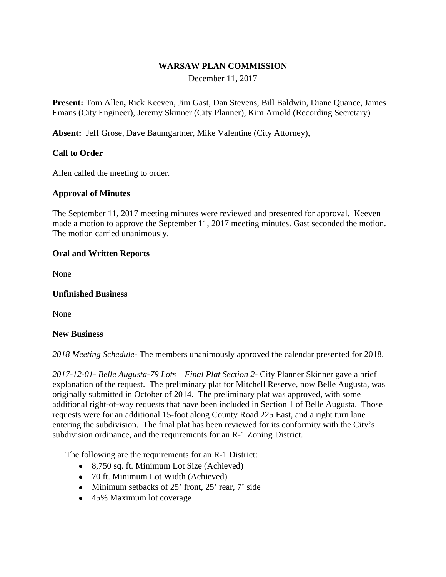## **WARSAW PLAN COMMISSION**

December 11, 2017

**Present:** Tom Allen**,** Rick Keeven, Jim Gast, Dan Stevens, Bill Baldwin, Diane Quance, James Emans (City Engineer), Jeremy Skinner (City Planner), Kim Arnold (Recording Secretary)

**Absent:** Jeff Grose, Dave Baumgartner, Mike Valentine (City Attorney),

## **Call to Order**

Allen called the meeting to order.

#### **Approval of Minutes**

The September 11, 2017 meeting minutes were reviewed and presented for approval. Keeven made a motion to approve the September 11, 2017 meeting minutes. Gast seconded the motion. The motion carried unanimously.

#### **Oral and Written Reports**

None

#### **Unfinished Business**

None

#### **New Business**

*2018 Meeting Schedule-* The members unanimously approved the calendar presented for 2018.

*2017-12-01- Belle Augusta-79 Lots – Final Plat Section 2-* City Planner Skinner gave a brief explanation of the request. The preliminary plat for Mitchell Reserve, now Belle Augusta, was originally submitted in October of 2014. The preliminary plat was approved, with some additional right-of-way requests that have been included in Section 1 of Belle Augusta. Those requests were for an additional 15-foot along County Road 225 East, and a right turn lane entering the subdivision. The final plat has been reviewed for its conformity with the City's subdivision ordinance, and the requirements for an R-1 Zoning District.

The following are the requirements for an R-1 District:

- 8,750 sq. ft. Minimum Lot Size (Achieved)
- 70 ft. Minimum Lot Width (Achieved)
- $\bullet$  Minimum setbacks of 25' front, 25' rear, 7' side
- 45% Maximum lot coverage